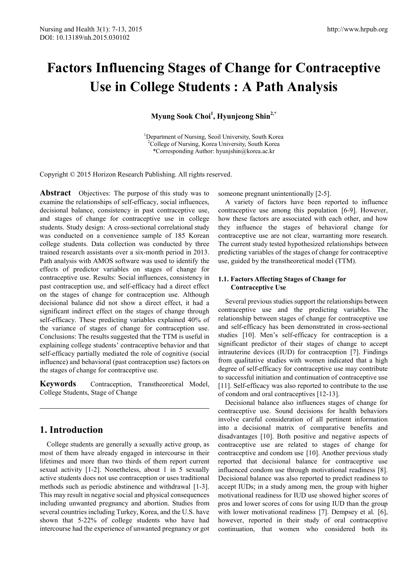# **Factors Influencing Stages of Change for Contraceptive Use in College Students : A Path Analysis**

**Myung Sook Choi<sup>1</sup> , Hyunjeong Shin2,\***

<sup>1</sup>Department of Nursing, Seoil University, South Korea<br><sup>2</sup>College of Nursing, Korea University, South Korea  ${}^{2}$ College of Nursing, Korea University, South Korea \*Corresponding Author: hyunjshin@korea.ac.kr

Copyright © 2015 Horizon Research Publishing. All rights reserved.

**Abstract** Objectives: The purpose of this study was to examine the relationships of self-efficacy, social influences, decisional balance, consistency in past contraceptive use, and stages of change for contraceptive use in college students. Study design: A cross-sectional correlational study was conducted on a convenience sample of 185 Korean college students. Data collection was conducted by three trained research assistants over a six-month period in 2013. Path analysis with AMOS software was used to identify the effects of predictor variables on stages of change for contraceptive use. Results: Social influences, consistency in past contraception use, and self-efficacy had a direct effect on the stages of change for contraception use. Although decisional balance did not show a direct effect, it had a significant indirect effect on the stages of change through self-efficacy. These predicting variables explained 40% of the variance of stages of change for contraception use. Conclusions: The results suggested that the TTM is useful in explaining college students' contraceptive behavior and that self-efficacy partially mediated the role of cognitive (social influence) and behavioral (past contraception use) factors on the stages of change for contraceptive use.

**Keywords** Contraception, Transtheoretical Model, College Students, Stage of Change

# **1. Introduction**

College students are generally a sexually active group, as most of them have already engaged in intercourse in their lifetimes and more than two thirds of them report current sexual activity [1-2]. Nonetheless, about 1 in 5 sexually active students does not use contraception or uses traditional methods such as periodic abstinence and withdrawal [1-3]. This may result in negative social and physical consequences including unwanted pregnancy and abortion. Studies from several countries including Turkey, Korea, and the U.S. have shown that 5-22% of college students who have had intercourse had the experience of unwanted pregnancy or got someone pregnant unintentionally [2-5].

A variety of factors have been reported to influence contraceptive use among this population [6-9]. However, how these factors are associated with each other, and how they influence the stages of behavioral change for contraceptive use are not clear, warranting more research. The current study tested hypothesized relationships between predicting variables of the stages of change for contraceptive use, guided by the transtheoretical model (TTM).

## **1.1. Factors Affecting Stages of Change for Contraceptive Use**

Several previous studies support the relationships between contraceptive use and the predicting variables. The relationship between stages of change for contraceptive use and self-efficacy has been demonstrated in cross-sectional studies [10]. Men's self-efficacy for contraception is a significant predictor of their stages of change to accept intrauterine devices (IUD) for contraception [7]. Findings from qualitative studies with women indicated that a high degree of self-efficacy for contraceptive use may contribute to successful initiation and continuation of contraceptive use [11]. Self-efficacy was also reported to contribute to the use of condom and oral contraceptives [12-13].

Decisional balance also influences stages of change for contraceptive use. Sound decisions for health behaviors involve careful consideration of all pertinent information into a decisional matrix of comparative benefits and disadvantages [10]. Both positive and negative aspects of contraceptive use are related to stages of change for contraceptive and condom use [10]. Another previous study reported that decisional balance for contraceptive use influenced condom use through motivational readiness [8]. Decisional balance was also reported to predict readiness to accept IUDs; in a study among men, the group with higher motivational readiness for IUD use showed higher scores of pros and lower scores of cons for using IUD than the group with lower motivational readiness [7]. Dempsey et al. [6], however, reported in their study of oral contraceptive continuation, that women who considered both its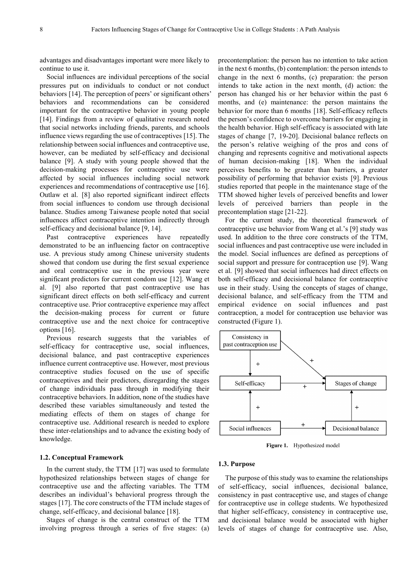advantages and disadvantages important were more likely to continue to use it.

Social influences are individual perceptions of the social pressures put on individuals to conduct or not conduct behaviors [14]. The perception of peers' or significant others' behaviors and recommendations can be considered important for the contraceptive behavior in young people [14]. Findings from a review of qualitative research noted that social networks including friends, parents, and schools influence views regarding the use of contraceptives [15]. The relationship between social influences and contraceptive use, however, can be mediated by self-efficacy and decisional balance [9]. A study with young people showed that the decision-making processes for contraceptive use were affected by social influences including social network experiences and recommendations of contraceptive use [16]. Outlaw et al. [8] also reported significant indirect effects from social influences to condom use through decisional balance. Studies among Taiwanese people noted that social influences affect contraceptive intention indirectly through self-efficacy and decisional balance [9, 14].

Past contraceptive experiences have repeatedly demonstrated to be an influencing factor on contraceptive use. A previous study among Chinese university students showed that condom use during the first sexual experience and oral contraceptive use in the previous year were significant predictors for current condom use [12]. Wang et al. [9] also reported that past contraceptive use has significant direct effects on both self-efficacy and current contraceptive use. Prior contraceptive experience may affect the decision-making process for current or future contraceptive use and the next choice for contraceptive options [16].

Previous research suggests that the variables of self-efficacy for contraceptive use, social influences, decisional balance, and past contraceptive experiences influence current contraceptive use. However, most previous contraceptive studies focused on the use of specific contraceptives and their predictors, disregarding the stages of change individuals pass through in modifying their contraceptive behaviors. In addition, none of the studies have described these variables simultaneously and tested the mediating effects of them on stages of change for contraceptive use. Additional research is needed to explore these inter-relationships and to advance the existing body of knowledge.

#### **1.2. Conceptual Framework**

In the current study, the TTM [17] was used to formulate hypothesized relationships between stages of change for contraceptive use and the affecting variables. The TTM describes an individual's behavioral progress through the stages [17]. The core constructs of the TTM include stages of change, self-efficacy, and decisional balance [18].

Stages of change is the central construct of the TTM involving progress through a series of five stages: (a)

precontemplation: the person has no intention to take action in the next 6 months, (b) contemplation: the person intends to change in the next 6 months, (c) preparation: the person intends to take action in the next month, (d) action: the person has changed his or her behavior within the past 6 months, and (e) maintenance: the person maintains the behavior for more than 6 months [18]. Self-efficacy reflects the person's confidence to overcome barriers for engaging in the health behavior. High self-efficacy is associated with late stages of change [7, 19-20]. Decisional balance reflects on the person's relative weighing of the pros and cons of changing and represents cognitive and motivational aspects of human decision-making [18]. When the individual perceives benefits to be greater than barriers, a greater possibility of performing that behavior exists [9]. Previous studies reported that people in the maintenance stage of the TTM showed higher levels of perceived benefits and lower levels of perceived barriers than people in the precontemplation stage [21-22].

For the current study, the theoretical framework of contraceptive use behavior from Wang et al.'s [9] study was used. In addition to the three core constructs of the TTM, social influences and past contraceptive use were included in the model. Social influences are defined as perceptions of social support and pressure for contraception use [9]. Wang et al. [9] showed that social influences had direct effects on both self-efficacy and decisional balance for contraceptive use in their study. Using the concepts of stages of change, decisional balance, and self-efficacy from the TTM and empirical evidence on social influences and past contraception, a model for contraception use behavior was constructed (Figure 1).



**Figure 1.** Hypothesized model

#### **1.3. Purpose**

The purpose of this study was to examine the relationships of self-efficacy, social influences, decisional balance, consistency in past contraceptive use, and stages of change for contraceptive use in college students. We hypothesized that higher self-efficacy, consistency in contraceptive use, and decisional balance would be associated with higher levels of stages of change for contraceptive use. Also,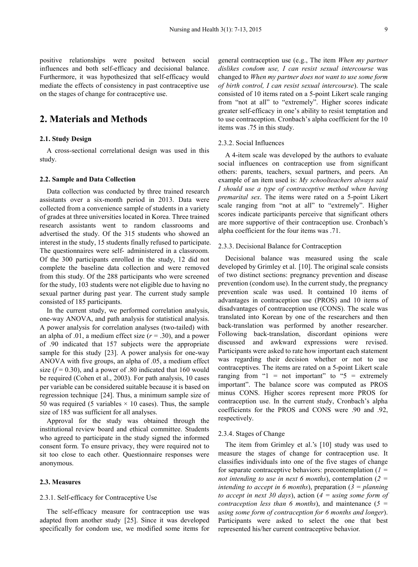positive relationships were posited between social influences and both self-efficacy and decisional balance. Furthermore, it was hypothesized that self-efficacy would mediate the effects of consistency in past contraceptive use on the stages of change for contraceptive use.

# **2. Materials and Methods**

## **2.1. Study Design**

A cross-sectional correlational design was used in this study.

#### **2.2. Sample and Data Collection**

Data collection was conducted by three trained research assistants over a six-month period in 2013. Data were collected from a convenience sample of students in a variety of grades at three universities located in Korea. Three trained research assistants went to random classrooms and advertised the study. Of the 315 students who showed an interest in the study, 15 students finally refused to participate. The questionnaires were self- administered in a classroom. Of the 300 participants enrolled in the study, 12 did not complete the baseline data collection and were removed from this study. Of the 288 participants who were screened for the study, 103 students were not eligible due to having no sexual partner during past year. The current study sample consisted of 185 participants.

In the current study, we performed correlation analysis, one-way ANOVA, and path analysis for statistical analysis. A power analysis for correlation analyses (two-tailed) with an alpha of .01, a medium effect size  $(r = .30)$ , and a power of .90 indicated that 157 subjects were the appropriate sample for this study [23]. A power analysis for one-way ANOVA with five groups, an alpha of .05, a medium effect size  $(f = 0.30)$ , and a power of .80 indicated that 160 would be required (Cohen et al., 2003). For path analysis, 10 cases per variable can be considered suitable because it is based on regression technique [24]. Thus, a minimum sample size of 50 was required (5 variables  $\times$  10 cases). Thus, the sample size of 185 was sufficient for all analyses.

Approval for the study was obtained through the institutional review board and ethical committee. Students who agreed to participate in the study signed the informed consent form. To ensure privacy, they were required not to sit too close to each other. Questionnaire responses were anonymous.

## **2.3. Measures**

#### 2.3.1. Self-efficacy for Contraceptive Use

The self-efficacy measure for contraception use was adapted from another study [25]. Since it was developed specifically for condom use, we modified some items for

general contraception use (e.g., The item *When my partner dislikes condom use, I can resist sexual intercourse* was changed to *When my partner does not want to use some form of birth control, I can resist sexual intercourse*). The scale consisted of 10 items rated on a 5-point Likert scale ranging from "not at all" to "extremely". Higher scores indicate greater self-efficacy in one's ability to resist temptation and to use contraception. Cronbach's alpha coefficient for the 10 items was .75 in this study.

### 2.3.2. Social Influences

A 4-item scale was developed by the authors to evaluate social influences on contraception use from significant others: parents, teachers, sexual partners, and peers. An example of an item used is: *My schoolteachers always said I should use a type of contraceptive method when having premarital sex*. The items were rated on a 5-point Likert scale ranging from "not at all" to "extremely". Higher scores indicate participants perceive that significant others are more supportive of their contraception use. Cronbach's alpha coefficient for the four items was .71.

#### 2.3.3. Decisional Balance for Contraception

Decisional balance was measured using the scale developed by Grimley et al. [10]. The original scale consists of two distinct sections: pregnancy prevention and disease prevention (condom use). In the current study, the pregnancy prevention scale was used. It contained 10 items of advantages in contraception use (PROS) and 10 items of disadvantages of contraception use (CONS). The scale was translated into Korean by one of the researchers and then back-translation was performed by another researcher. Following back-translation, discordant opinions were discussed and awkward expressions were revised. Participants were asked to rate how important each statement was regarding their decision whether or not to use contraceptives. The items are rated on a 5-point Likert scale ranging from " $1 = not important$ " to " $5 = extremely$ important". The balance score was computed as PROS minus CONS. Higher scores represent more PROS for contraception use. In the current study, Cronbach's alpha coefficients for the PROS and CONS were .90 and .92, respectively.

#### 2.3.4. Stages of Change

The item from Grimley et al.'s [10] study was used to measure the stages of change for contraception use. It classifies individuals into one of the five stages of change for separate contraceptive behaviors: precontemplation (*1 = not intending to use in next 6 months*), contemplation (*2 = intending to accept in 6 months*), preparation (*3 = planning to accept in next 30 days*), action (*4 = using some form of contraception less than 6 months*), and maintenance (*5 = using some form of contraception for 6 months and longer*). Participants were asked to select the one that best represented his/her current contraceptive behavior.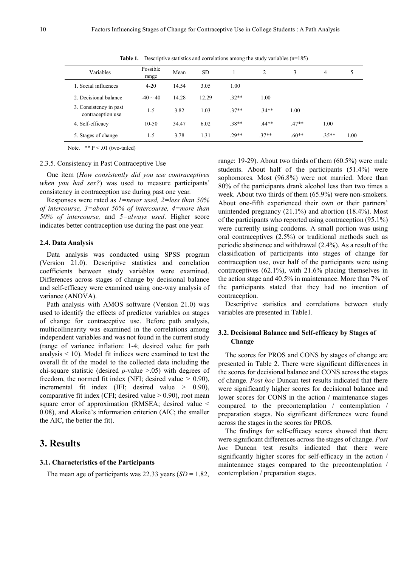| Variables                                   | Possible<br>range | Mean  | <b>SD</b> |         | 2       | 3       | 4       | 5    |
|---------------------------------------------|-------------------|-------|-----------|---------|---------|---------|---------|------|
| 1. Social influences                        | $4 - 20$          | 14.54 | 3.05      | 1.00    |         |         |         |      |
| 2. Decisional balance                       | $-40 \sim 40$     | 14.28 | 12.29     | $32**$  | 1.00    |         |         |      |
| 3. Consistency in past<br>contraception use | $1 - 5$           | 3.82  | 1.03      | $.37**$ | $.34**$ | 1.00    |         |      |
| 4. Self-efficacy                            | $10-50$           | 34.47 | 6.02      | $.38**$ | $.44**$ | $.47**$ | 1.00    |      |
| 5. Stages of change                         | $1 - 5$           | 3.78  | 1.31      | $.29**$ | $.37**$ | $.60**$ | $.35**$ | 1.00 |

**Table 1.** Descriptive statistics and correlations among the study variables (n=185)

Note.  $*$  P < .01 (two-tailed)

#### 2.3.5. Consistency in Past Contraceptive Use

One item (*How consistently did you use contraceptives when you had sex?*) was used to measure participants' consistency in contraception use during past one year.

Responses were rated as *1=never used, 2=less than 50% of intercourse, 3=about 50% of intercourse, 4=more than 50% of intercourse,* and *5=always used*. Higher score indicates better contraception use during the past one year.

#### **2.4. Data Analysis**

Data analysis was conducted using SPSS program (Version 21.0). Descriptive statistics and correlation coefficients between study variables were examined. Differences across stages of change by decisional balance and self-efficacy were examined using one-way analysis of variance (ANOVA).

Path analysis with AMOS software (Version 21.0) was used to identify the effects of predictor variables on stages of change for contraceptive use. Before path analysis, multicollinearity was examined in the correlations among independent variables and was not found in the current study (range of variance inflation: 1-4; desired value for path analysis < 10). Model fit indices were examined to test the overall fit of the model to the collected data including the chi-square statistic (desired *p*-value >.05) with degrees of freedom, the normed fit index (NFI; desired value  $> 0.90$ ), incremental fit index (IFI; desired value  $> 0.90$ ), comparative fit index (CFI; desired value  $> 0.90$ ), root mean square error of approximation (RMSEA; desired value < 0.08), and Akaike's information criterion (AIC; the smaller the AIC, the better the fit).

# **3. Results**

#### **3.1. Characteristics of the Participants**

The mean age of participants was 22.33 years (*SD* = 1.82,

range: 19-29). About two thirds of them (60.5%) were male students. About half of the participants (51.4%) were sophomores. Most (96.8%) were not married. More than 80% of the participants drank alcohol less than two times a week. About two thirds of them (65.9%) were non-smokers. About one-fifth experienced their own or their partners' unintended pregnancy  $(21.1\%)$  and abortion  $(18.4\%)$ . Most of the participants who reported using contraception (95.1%) were currently using condoms. A small portion was using oral contraceptives (2.5%) or traditional methods such as periodic abstinence and withdrawal (2.4%). As a result of the classification of participants into stages of change for contraception use, over half of the participants were using contraceptives (62.1%), with 21.6% placing themselves in the action stage and 40.5% in maintenance. More than 7% of the participants stated that they had no intention of contraception.

Descriptive statistics and correlations between study variables are presented in Table1.

## **3.2. Decisional Balance and Self-efficacy by Stages of Change**

The scores for PROS and CONS by stages of change are presented in Table 2. There were significant differences in the scores for decisional balance and CONS across the stages of change. *Post hoc* Duncan test results indicated that there were significantly higher scores for decisional balance and lower scores for CONS in the action / maintenance stages compared to the precontemplation / contemplation / preparation stages. No significant differences were found across the stages in the scores for PROS.

The findings for self-efficacy scores showed that there were significant differences across the stages of change. *Post hoc* Duncan test results indicated that there were significantly higher scores for self-efficacy in the action / maintenance stages compared to the precontemplation / contemplation / preparation stages.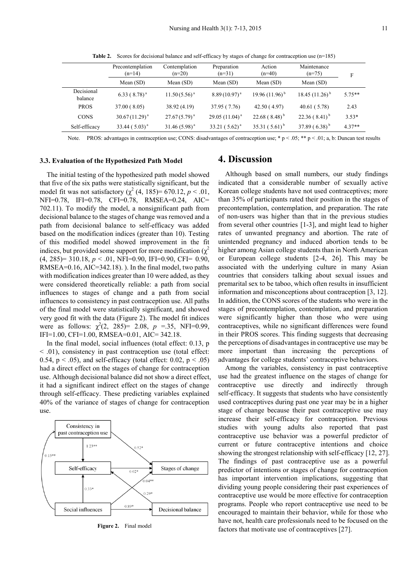|                       | Precontemplation<br>$(n=14)$ | Contemplation<br>$(n=20)$ | Preparation<br>$(n=31)$ | Action<br>$(n=40)$  | Maintenance<br>$(n=75)$ | F        |
|-----------------------|------------------------------|---------------------------|-------------------------|---------------------|-------------------------|----------|
|                       | Mean (SD)                    | Mean $(SD)$               | Mean $(SD)$             | Mean $(SD)$         | Mean $(SD)$             |          |
| Decisional<br>balance | 6.33 ( $8.78$ ) <sup>a</sup> | $11.50(5.56)^{a}$         | $8.89(10.97)^{a}$       | 19.96 $(11.96)^{b}$ | 18.45 $(11.26)^{b}$     | $575**$  |
| <b>PROS</b>           | 37.00 (8.05)                 | 38.92 (4.19)              | 37.95 (7.76)            | 42.50(4.97)         | 40.61(5.78)             | 2.43     |
| <b>CONS</b>           | $30.67(11.29)^{a}$           | $27.67(5.79)^{a}$         | 29.05 $(11.04)^{a}$     | $22.68(8.48)^{b}$   | $22.36(8.41)^{b}$       | $3.53*$  |
| Self-efficacy         | $33.44 (5.03)^{a}$           | $31.46(5.98)^{a}$         | 33.21 $(5.62)^a$        | $35.31(5.61)^{b}$   | 37.89 $(6.38)^{b}$      | $4.37**$ |
|                       |                              |                           |                         |                     |                         |          |

**Table 2.** Scores for decisional balance and self-efficacy by stages of change for contraception use (n=185)

Note. PROS: advantages in contraception use; CONS: disadvantages of contraception use;  $* p < .05; ** p < .01; a, b$ : Duncan test results

#### **3.3. Evaluation of the Hypothesized Path Model**

The initial testing of the hypothesized path model showed that five of the six paths were statistically significant, but the model fit was not satisfactory  $(\chi^2 (4, 185) = 670.12, p < .01,$ NFI=0.78, IFI=0.78, CFI=0.78, RMSEA=0.24, AIC= 702.11). To modify the model, a nonsignificant path from decisional balance to the stages of change was removed and a path from decisional balance to self-efficacy was added based on the modification indices (greater than 10). Testing of this modified model showed improvement in the fit indices, but provided some support for more modification ( $\chi$ <sup>2</sup> (4, 285)= 310.18, *p* < .01, NFI=0.90, IFI=0.90, CFI= 0.90, RMSEA=0.16, AIC=342.18). ). In the final model, two paths with modification indices greater than 10 were added, as they were considered theoretically reliable: a path from social influences to stages of change and a path from social influences to consistency in past contraception use. All paths of the final model were statistically significant, and showed very good fit with the data (Figure 2). The model fit indices were as follows:  $\chi^2(2, 285) = 2.08$ ,  $p = 35$ , NFI=0.99, IFI=1.00, CFI=1.00, RMSEA=0.01, AIC= 342.18.

In the final model, social influences (total effect: 0.13, p < .01), consistency in past contraception use (total effect: 0.54,  $p < .05$ ), and self-efficacy (total effect: 0.02,  $p < .05$ ) had a direct effect on the stages of change for contraception use. Although decisional balance did not show a direct effect, it had a significant indirect effect on the stages of change through self-efficacy. These predicting variables explained 40% of the variance of stages of change for contraception use.



**Figure 2.** Final model

# **4. Discussion**

Although based on small numbers, our study findings indicated that a considerable number of sexually active Korean college students have not used contraceptives; more than 35% of participants rated their position in the stages of precontemplation, contemplation, and preparation. The rate of non-users was higher than that in the previous studies from several other countries [1-3], and might lead to higher rates of unwanted pregnancy and abortion. The rate of unintended pregnancy and induced abortion tends to be higher among Asian college students than in North American or European college students [2-4, 26]. This may be associated with the underlying culture in many Asian countries that considers talking about sexual issues and premarital sex to be taboo, which often results in insufficient information and misconceptions about contraception [3, 12]. In addition, the CONS scores of the students who were in the stages of precontemplation, contemplation, and preparation were significantly higher than those who were using contraceptives, while no significant differences were found in their PROS scores. This finding suggests that decreasing the perceptions of disadvantages in contraceptive use may be more important than increasing the perceptions of advantages for college students' contraceptive behaviors.

Among the variables, consistency in past contraceptive use had the greatest influence on the stages of change for contraceptive use directly and indirectly through self-efficacy. It suggests that students who have consistently used contraceptives during past one year may be in a higher stage of change because their past contraceptive use may increase their self-efficacy for contraception. Previous studies with young adults also reported that past contraceptive use behavior was a powerful predictor of current or future contraceptive intentions and choice showing the strongest relationship with self-efficacy [12, 27]. The findings of past contraceptive use as a powerful predictor of intentions or stages of change for contraception has important intervention implications, suggesting that dividing young people considering their past experiences of contraceptive use would be more effective for contraception programs. People who report contraceptive use need to be encouraged to maintain their behavior, while for those who have not, health care professionals need to be focused on the factors that motivate use of contraceptives [27].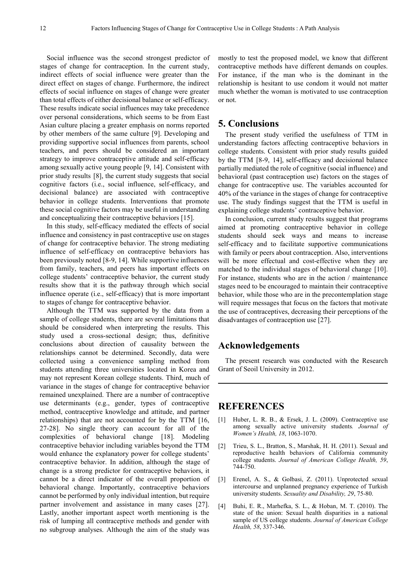Social influence was the second strongest predictor of stages of change for contraception. In the current study, indirect effects of social influence were greater than the direct effect on stages of change. Furthermore, the indirect effects of social influence on stages of change were greater than total effects of either decisional balance or self-efficacy. These results indicate social influences may take precedence over personal considerations, which seems to be from East Asian culture placing a greater emphasis on norms reported by other members of the same culture [9]. Developing and providing supportive social influences from parents, school teachers, and peers should be considered an important strategy to improve contraceptive attitude and self-efficacy among sexually active young people [9, 14]. Consistent with prior study results [8], the current study suggests that social cognitive factors (i.e., social influence, self-efficacy, and decisional balance) are associated with contraceptive behavior in college students. Interventions that promote these social cognitive factors may be useful in understanding and conceptualizing their contraceptive behaviors [15].

In this study, self-efficacy mediated the effects of social influence and consistency in past contraceptive use on stages of change for contraceptive behavior. The strong mediating influence of self-efficacy on contraceptive behaviors has been previously noted [8-9, 14]. While supportive influences from family, teachers, and peers has important effects on college students' contraceptive behavior, the current study results show that it is the pathway through which social influence operate (i.e., self-efficacy) that is more important to stages of change for contraceptive behavior.

Although the TTM was supported by the data from a sample of college students, there are several limitations that should be considered when interpreting the results. This study used a cross-sectional design; thus, definitive conclusions about direction of causality between the relationships cannot be determined. Secondly, data were collected using a convenience sampling method from students attending three universities located in Korea and may not represent Korean college students. Third, much of variance in the stages of change for contraceptive behavior remained unexplained. There are a number of contraceptive use determinants (e.g., gender, types of contraceptive method, contraceptive knowledge and attitude, and partner relationships) that are not accounted for by the TTM [16, 27-28]. No single theory can account for all of the complexities of behavioral change [18]. Modeling contraceptive behavior including variables beyond the TTM would enhance the explanatory power for college students' contraceptive behavior. In addition, although the stage of change is a strong predictor for contraceptive behaviors, it cannot be a direct indicator of the overall proportion of behavioral change. Importantly, contraceptive behaviors cannot be performed by only individual intention, but require partner involvement and assistance in many cases [27]. Lastly, another important aspect worth mentioning is the risk of lumping all contraceptive methods and gender with no subgroup analyses. Although the aim of the study was

mostly to test the proposed model, we know that different contraceptive methods have different demands on couples. For instance, if the man who is the dominant in the relationship is hesitant to use condom it would not matter much whether the woman is motivated to use contraception or not.

# **5. Conclusions**

The present study verified the usefulness of TTM in understanding factors affecting contraceptive behaviors in college students. Consistent with prior study results guided by the TTM [8-9, 14], self-efficacy and decisional balance partially mediated the role of cognitive (social influence) and behavioral (past contraception use) factors on the stages of change for contraceptive use. The variables accounted for 40% of the variance in the stages of change for contraceptive use. The study findings suggest that the TTM is useful in explaining college students' contraceptive behavior.

In conclusion, current study results suggest that programs aimed at promoting contraceptive behavior in college students should seek ways and means to increase self-efficacy and to facilitate supportive communications with family or peers about contraception. Also, interventions will be more effectual and cost-effective when they are matched to the individual stages of behavioral change [10]. For instance, students who are in the action / maintenance stages need to be encouraged to maintain their contraceptive behavior, while those who are in the precontemplation stage will require messages that focus on the factors that motivate the use of contraceptives, decreasing their perceptions of the disadvantages of contraception use [27].

# **Acknowledgements**

The present research was conducted with the Research Grant of Seoil University in 2012.

## **REFERENCES**

- [1] Huber, L. R. B., & Ersek, J. L. (2009). Contraceptive use among sexually active university students*. Journal of Women's Health, 18*, 1063-1070.
- [2] Trieu, S. L., Bratton, S., Marshak, H. H. (2011). Sexual and reproductive health behaviors of California community college students. *Journal of American College Health, 59*, 744-750.
- [3] Erenel, A. S., & Golbasi, Z. (2011). Unprotected sexual intercourse and unplanned pregnancy experience of Turkish university students. *Sexuality and Disability, 29*, 75-80.
- [4] Buhi, E. R., Marhefka, S. L., & Hoban, M. T. (2010). The state of the union: Sexual health disparities in a national sample of US college students. *Journal of American College Health, 58*, 337-346.